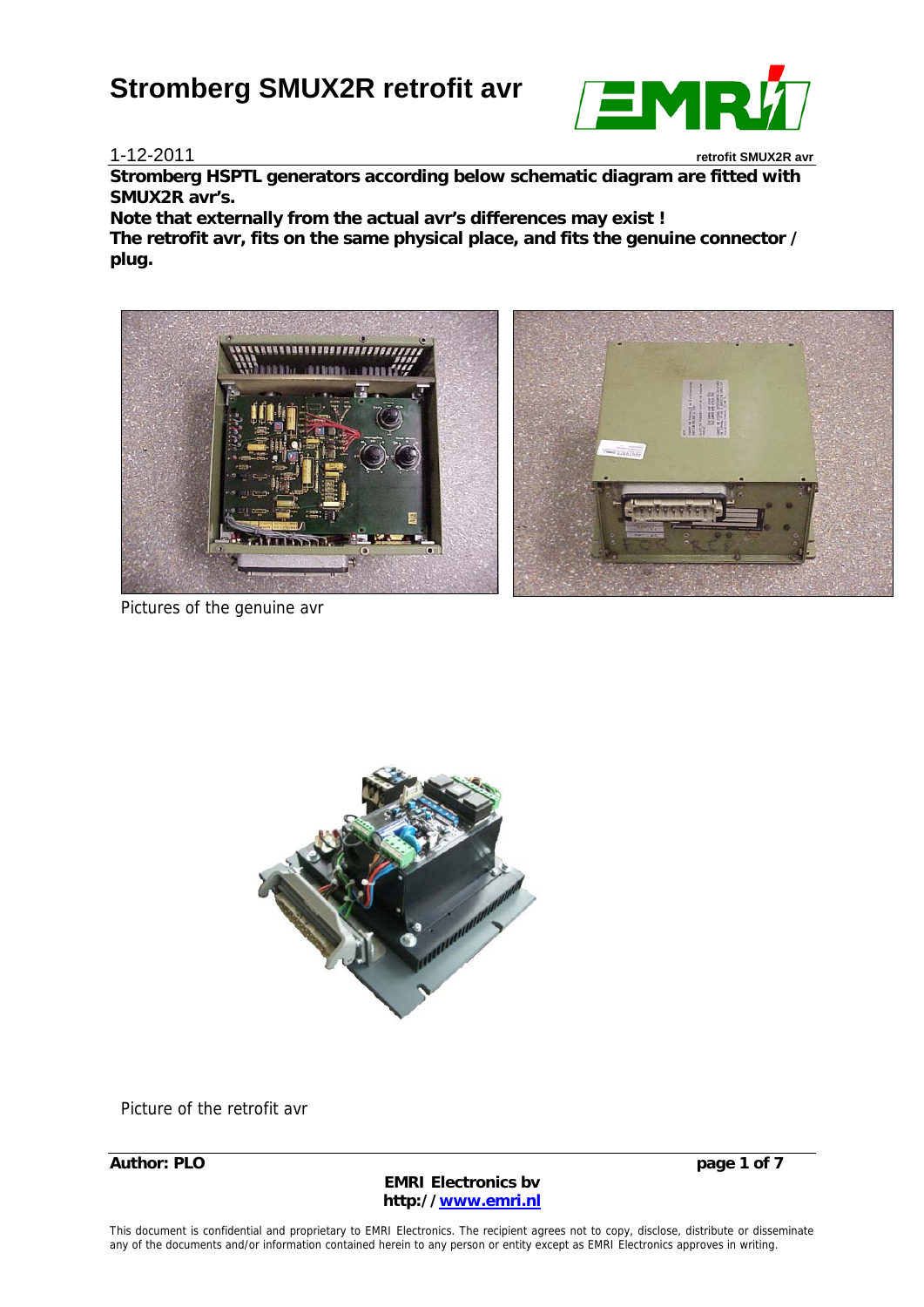#### 1-12-2011 **retrofit SMUX2R avr**

EMR

**Stromberg HSPTL generators according below schematic diagram are fitted with SMUX2R avr's.** 

**Note that externally from the actual avr's differences may exist ! The retrofit avr, fits on the same physical place, and fits the genuine connector / plug.** 



Pictures of the genuine avr



Picture of the retrofit avr

**Author: PLO page 1 of 7** 

**EMRI Electronics bv http://www.emri.nl**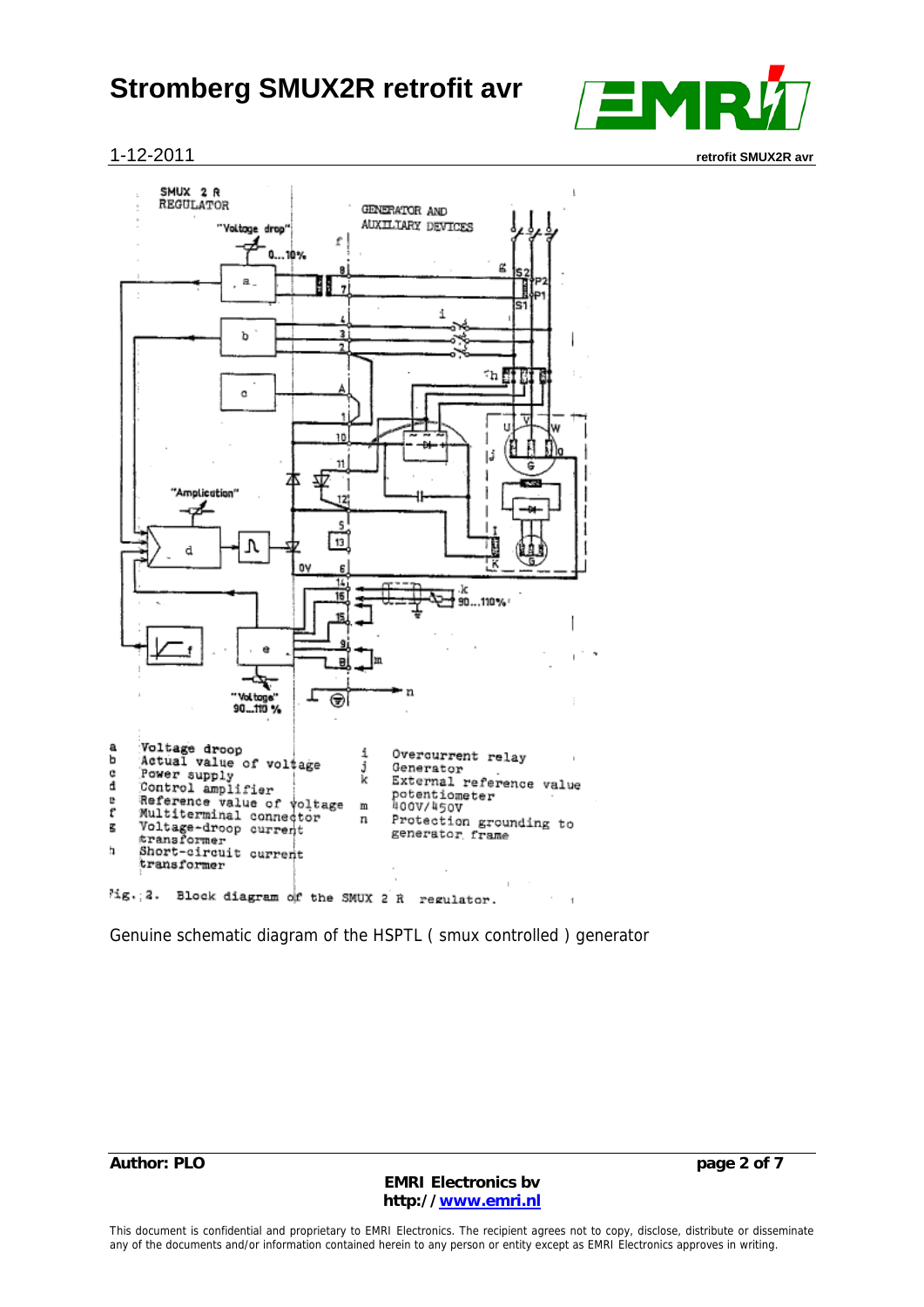

1-12-2011 **retrofit SMUX2R avr**



Genuine schematic diagram of the HSPTL ( smux controlled ) generator

**Author: PLO page 2 of 7** 

**EMRI Electronics bv http://www.emri.nl**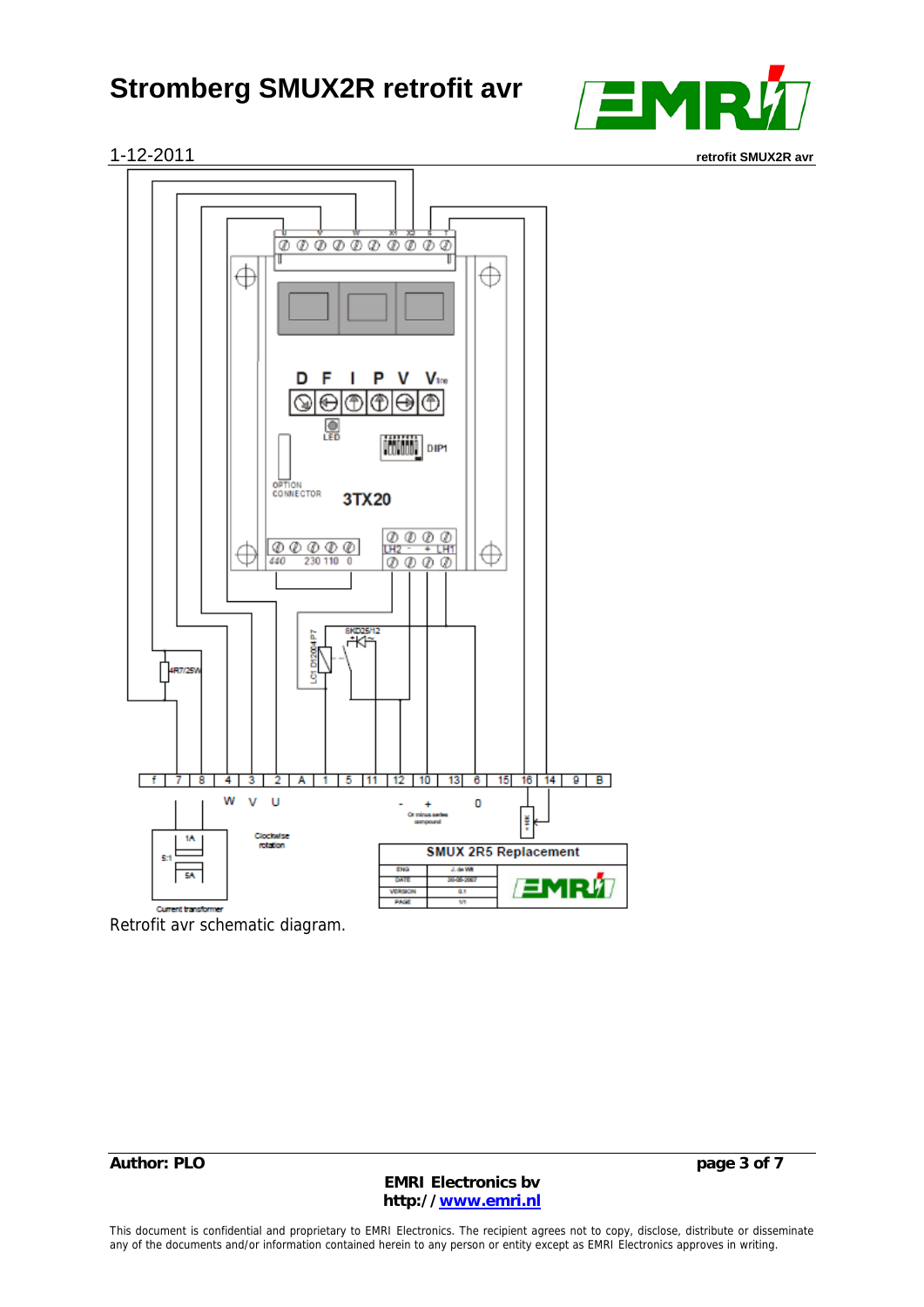





Retrofit avr schematic diagram.

**EMRI Electronics bv http://www.emri.nl**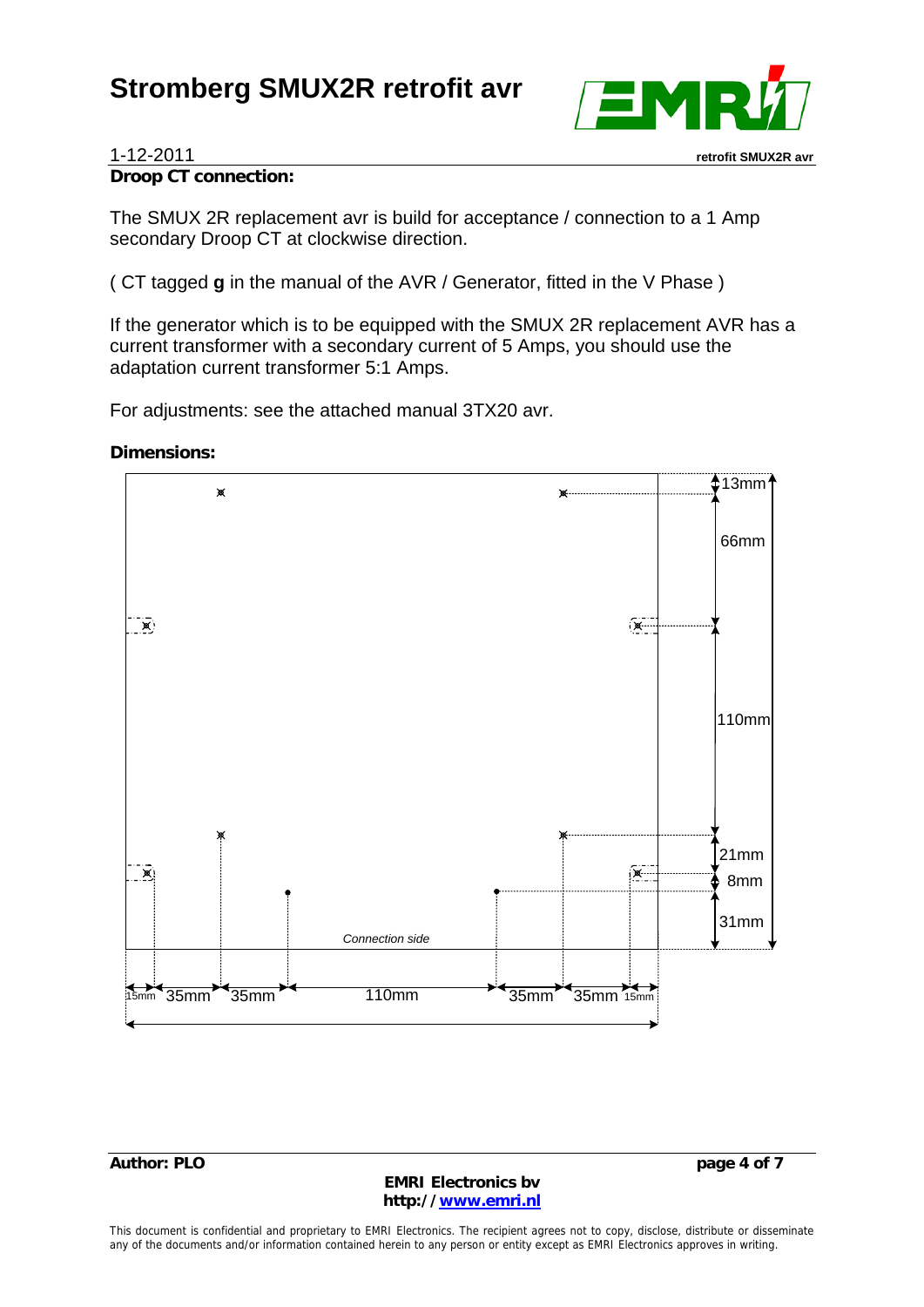

#### **Droop CT connection:**

The SMUX 2R replacement avr is build for acceptance / connection to a 1 Amp secondary Droop CT at clockwise direction.

( CT tagged **g** in the manual of the AVR / Generator, fitted in the V Phase )

If the generator which is to be equipped with the SMUX 2R replacement AVR has a current transformer with a secondary current of 5 Amps, you should use the adaptation current transformer 5:1 Amps.

For adjustments: see the attached manual 3TX20 avr.

#### **Dimensions:**



#### **Author: PLO page 4 of 7**

**EMRI Electronics bv http://www.emri.nl**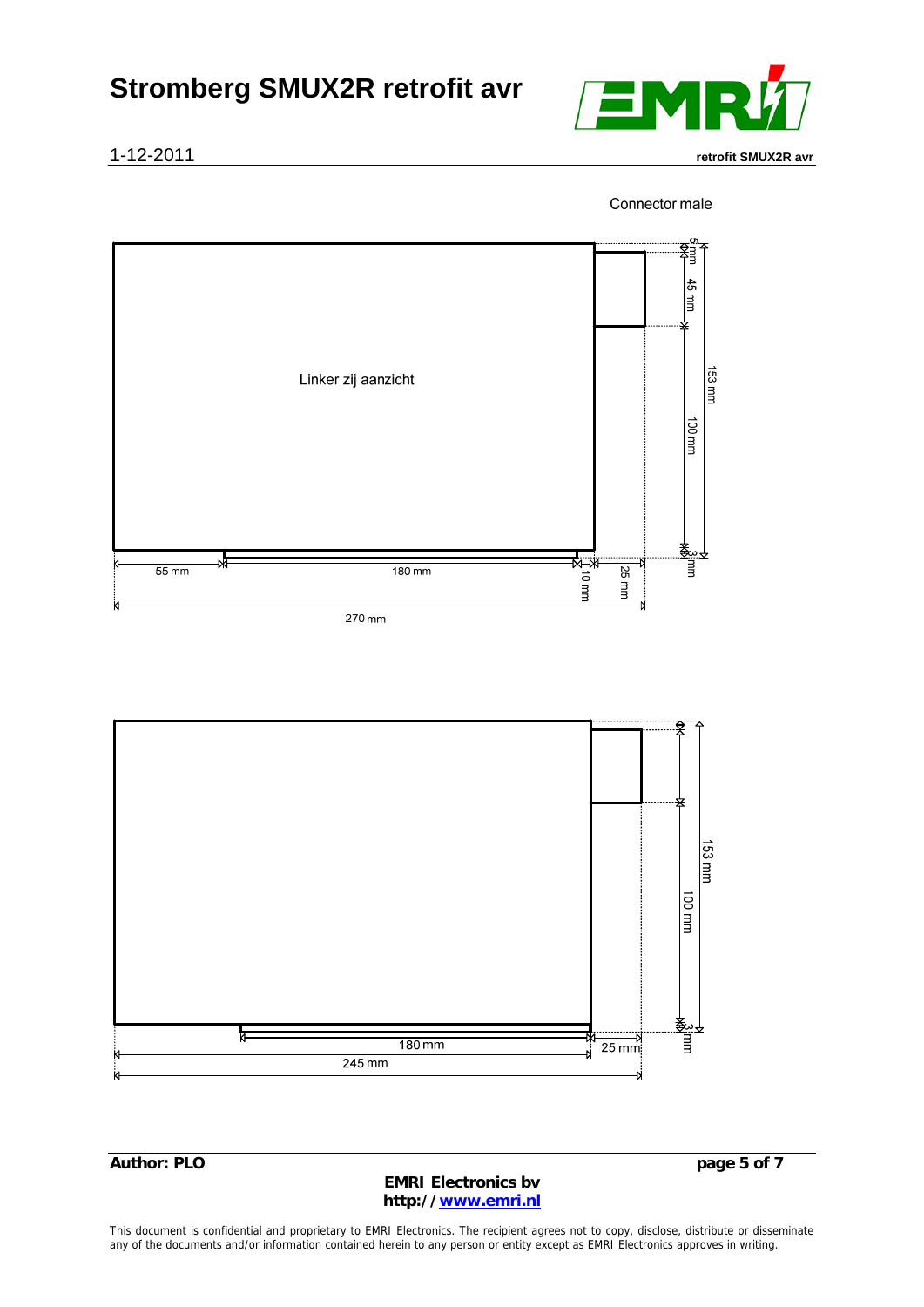

Connector male



153 mm uuu 001 ♣  $180 \text{ mm}$  $\frac{1}{25}$  mm πт  $245$  mm

**Author: PLO** page 5 of 7

**EMRI Electronics bv http://www.emri.nl**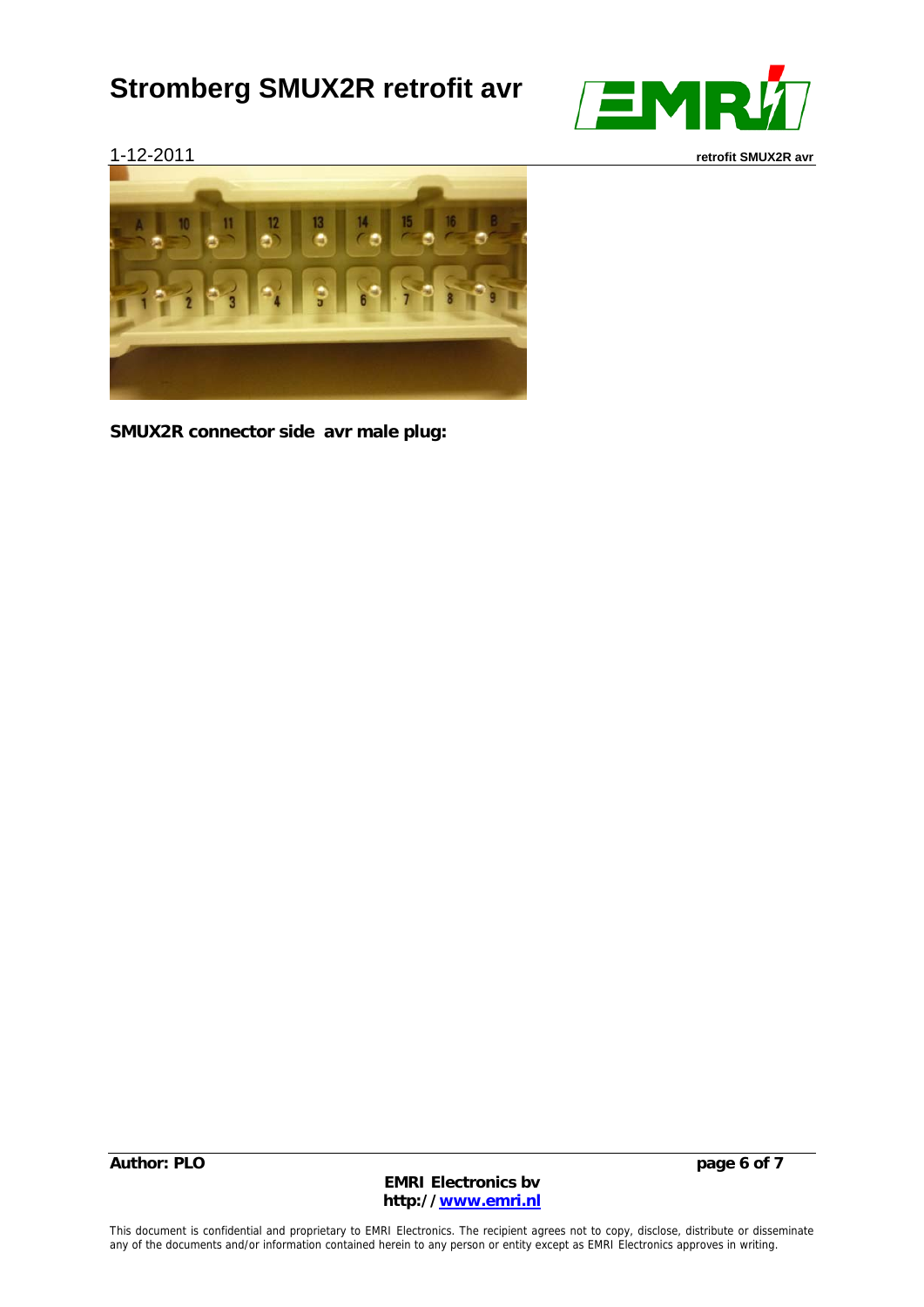



**SMUX2R connector side avr male plug:** 

**Author: PLO** page 6 of 7

**EMRI Electronics bv http://www.emri.nl**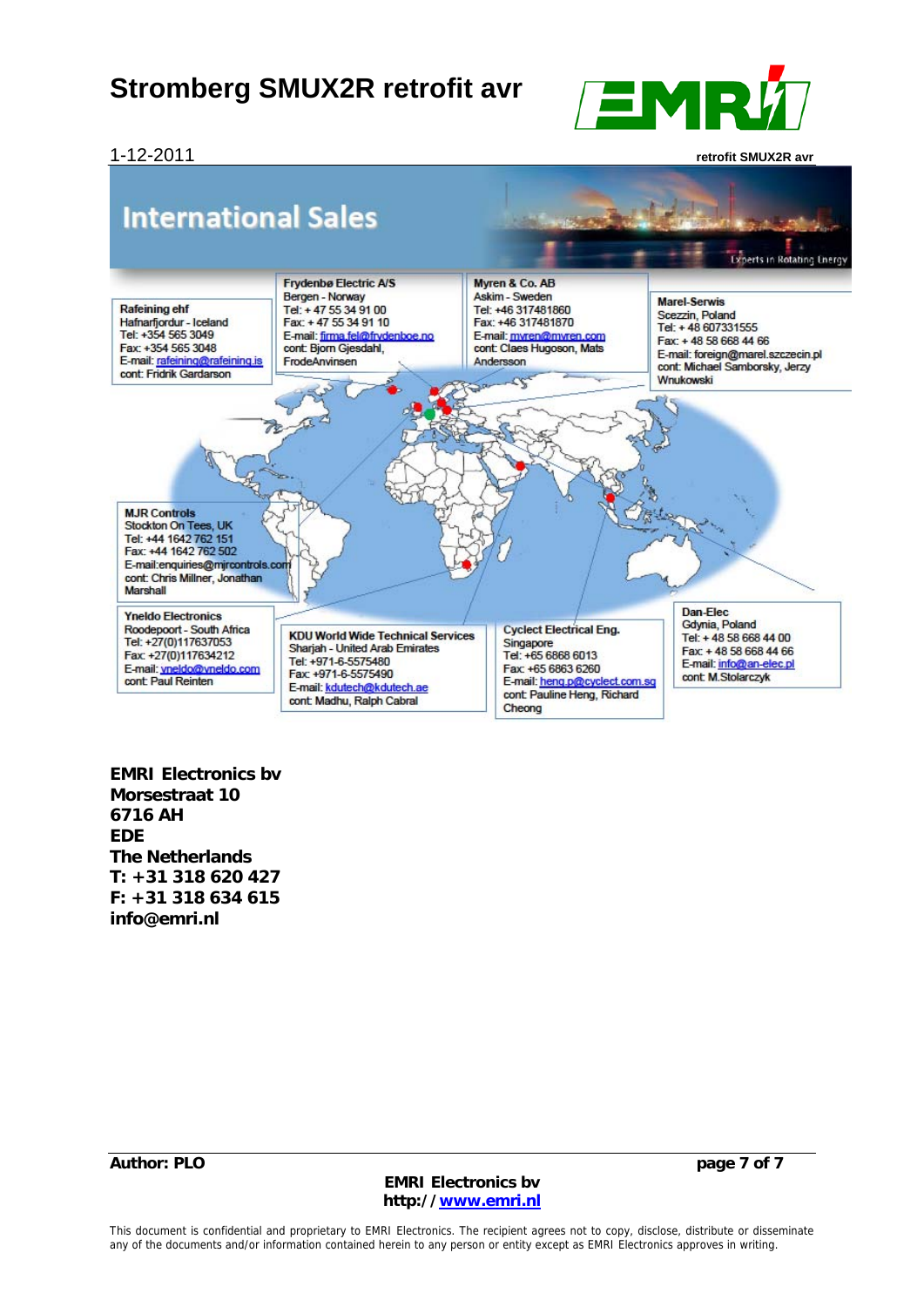1-12-2011 **retrofit SMUX2R avr**

EMR



**EMRI Electronics bv Morsestraat 10 6716 AH EDE The Netherlands T: +31 318 620 427 F: +31 318 634 615 info@emri.nl** 

**Author: PLO page 7 of 7** 

**EMRI Electronics bv http://www.emri.nl**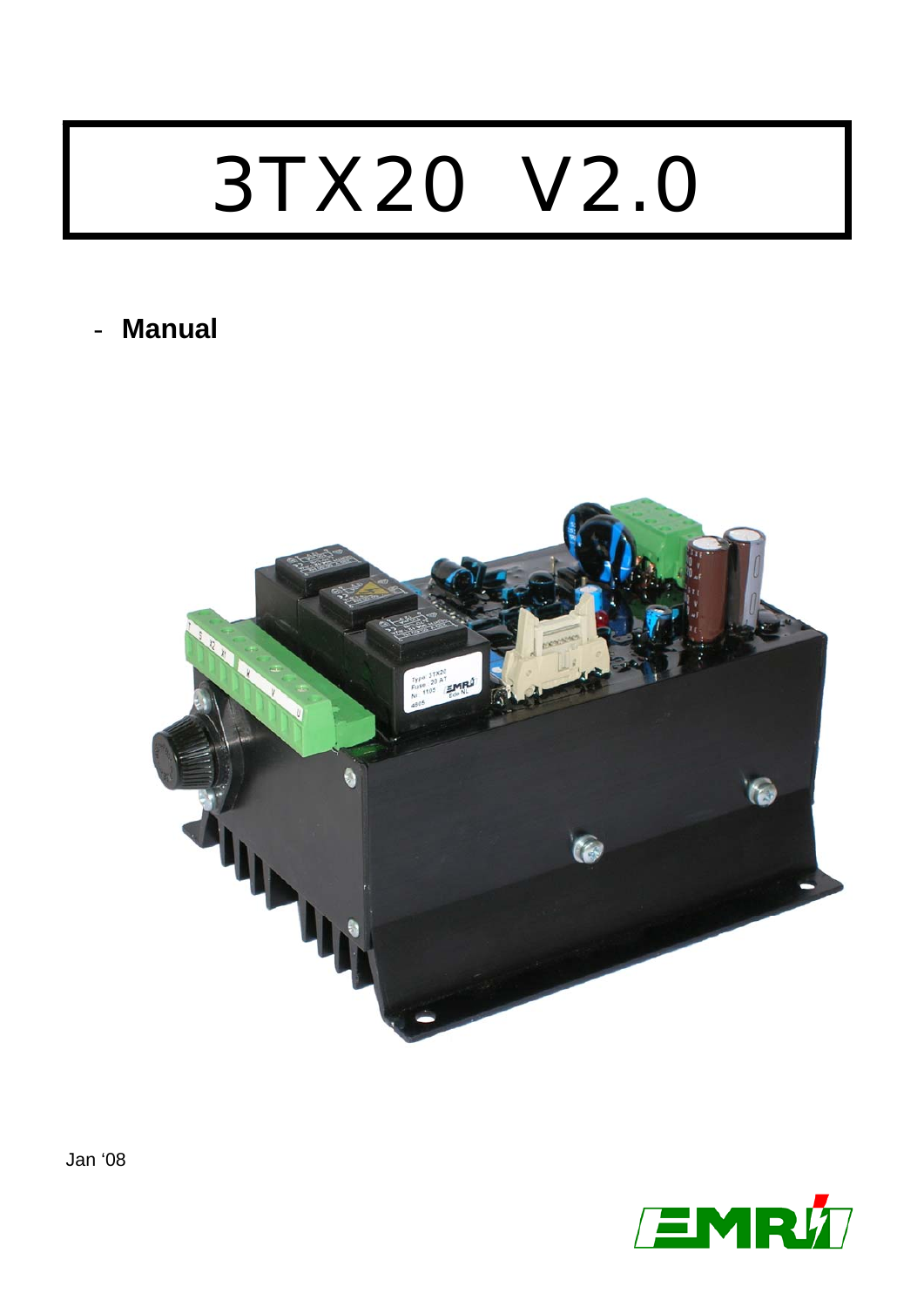# 3TX20 V2.0

## - **Manual**



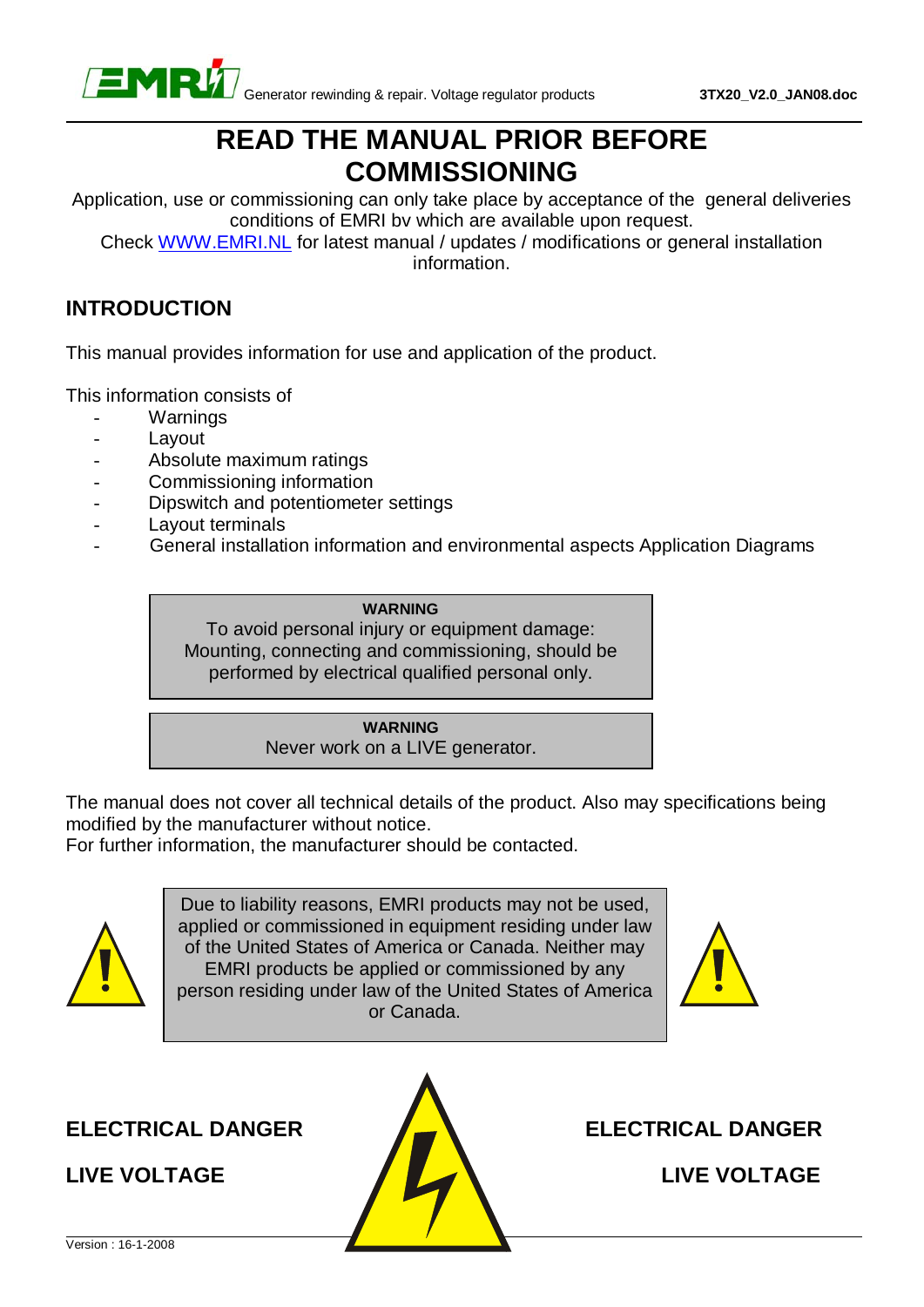

## **READ THE MANUAL PRIOR BEFORE COMMISSIONING**

Application, use or commissioning can only take place by acceptance of the general deliveries conditions of EMRI bv which are available upon request.

Check WWW.EMRI.NL for latest manual / updates / modifications or general installation information.

#### **INTRODUCTION**

This manual provides information for use and application of the product.

This information consists of

- **Warnings**
- Layout
- Absolute maximum ratings
- Commissioning information
- Dipswitch and potentiometer settings
- Layout terminals
- General installation information and environmental aspects Application Diagrams

**WARNING** To avoid personal injury or equipment damage: Mounting, connecting and commissioning, should be performed by electrical qualified personal only.

#### **WARNING**

Never work on a LIVE generator.

The manual does not cover all technical details of the product. Also may specifications being modified by the manufacturer without notice.

For further information, the manufacturer should be contacted.



Due to liability reasons, EMRI products may not be used, applied or commissioned in equipment residing under law of the United States of America or Canada. Neither may EMRI products be applied or commissioned by any person residing under law of the United States of America or Canada.



**ELECTRICAL DANGER ELECTRICAL DANGER** 



**LIVE VOLTAGE LIVE VOLTAGE**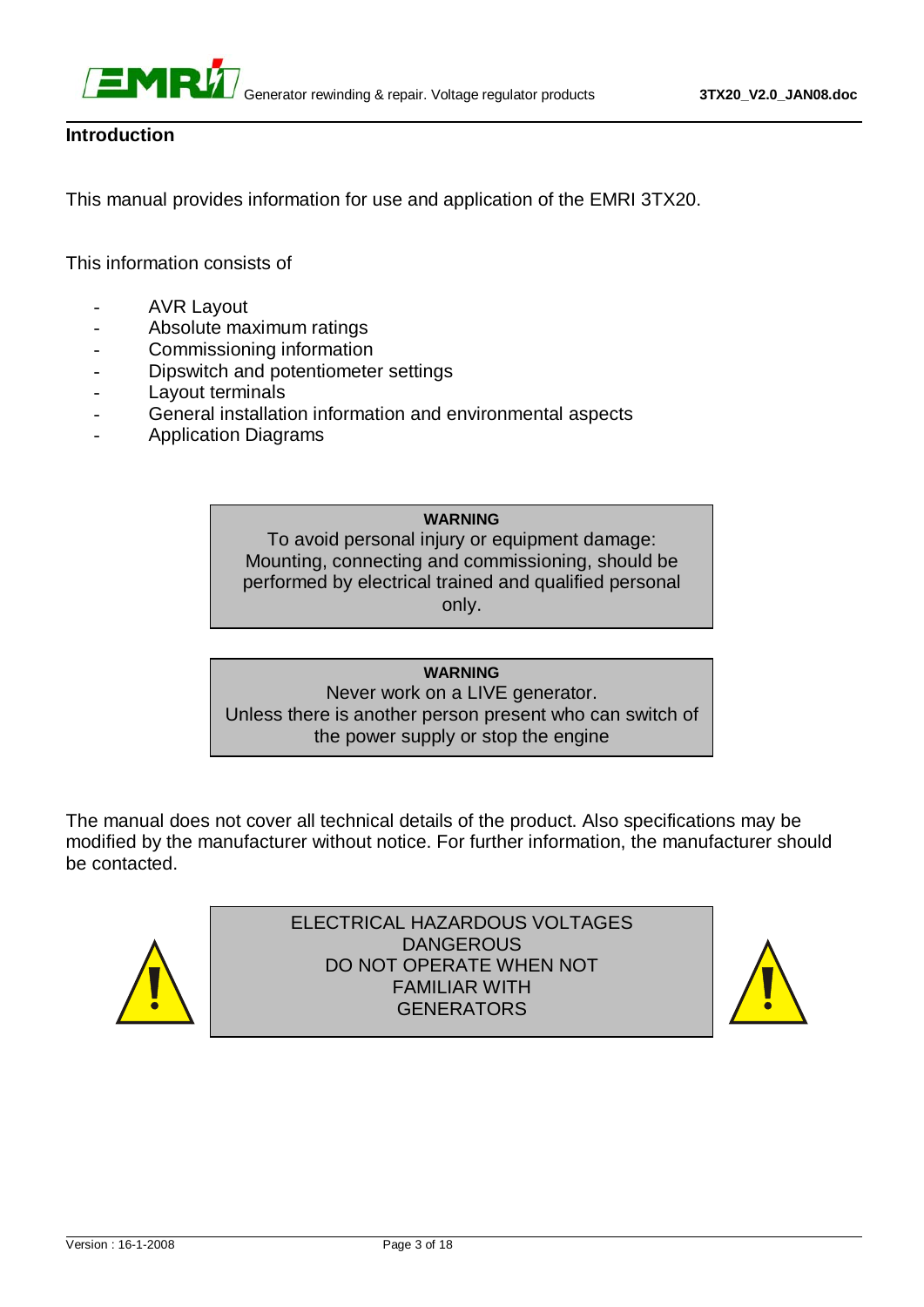



#### **Introduction**

This manual provides information for use and application of the EMRI 3TX20.

This information consists of

- **AVR Layout**
- Absolute maximum ratings
- Commissioning information
- Dipswitch and potentiometer settings
- Lavout terminals
- General installation information and environmental aspects
- Application Diagrams

#### **WARNING**

To avoid personal injury or equipment damage: Mounting, connecting and commissioning, should be performed by electrical trained and qualified personal only.

#### **WARNING**

Never work on a LIVE generator. Unless there is another person present who can switch of the power supply or stop the engine

The manual does not cover all technical details of the product. Also specifications may be modified by the manufacturer without notice. For further information, the manufacturer should be contacted.



ELECTRICAL HAZARDOUS VOLTAGES DANGEROUS DO NOT OPERATE WHEN NOT FAMILIAR WITH **GENERATORS** 

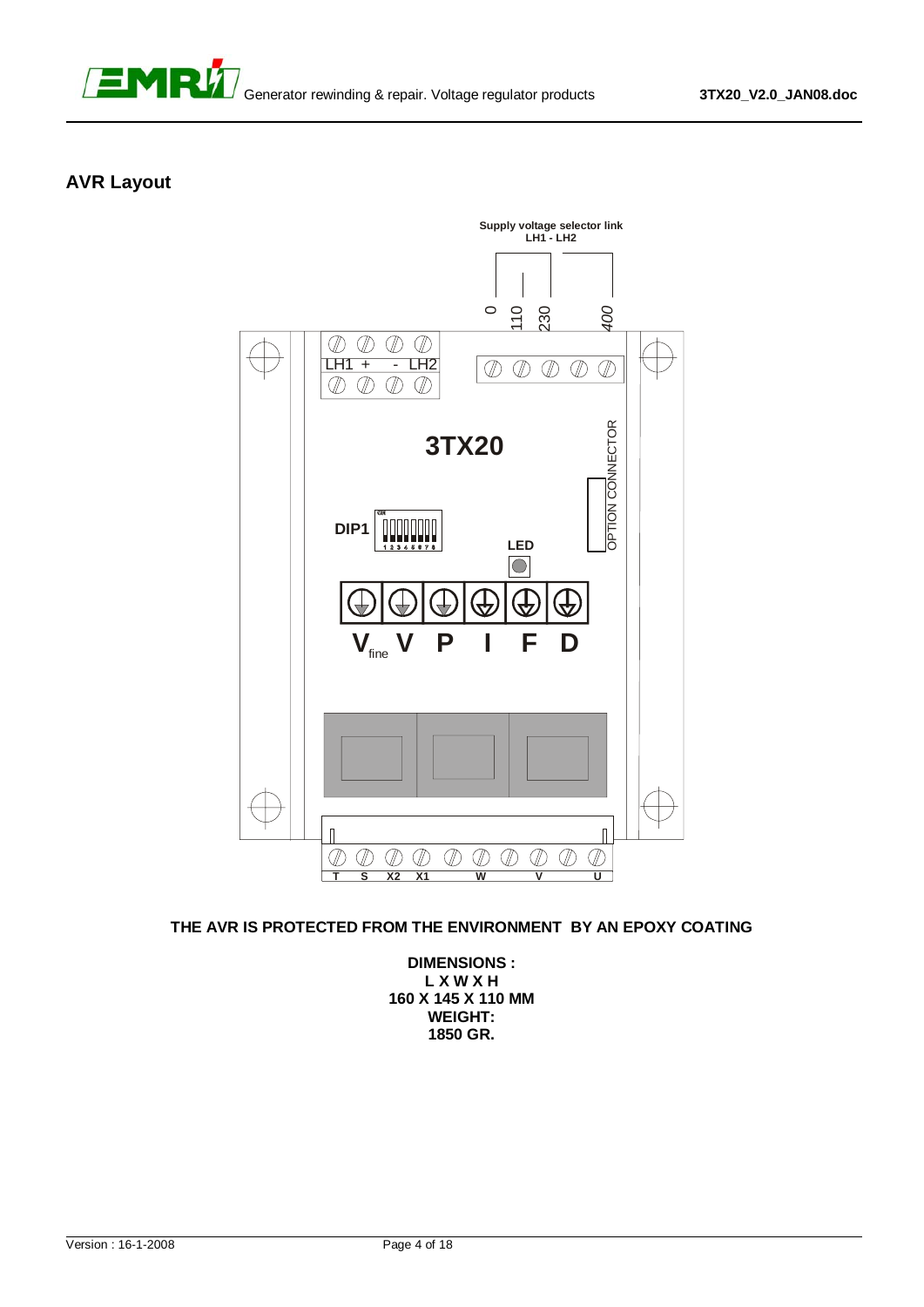

#### **AVR Layout**



#### **THE AVR IS PROTECTED FROM THE ENVIRONMENT BY AN EPOXY COATING**

**DIMENSIONS : L X W X H 160 X 145 X 110 MM WEIGHT: 1850 GR.**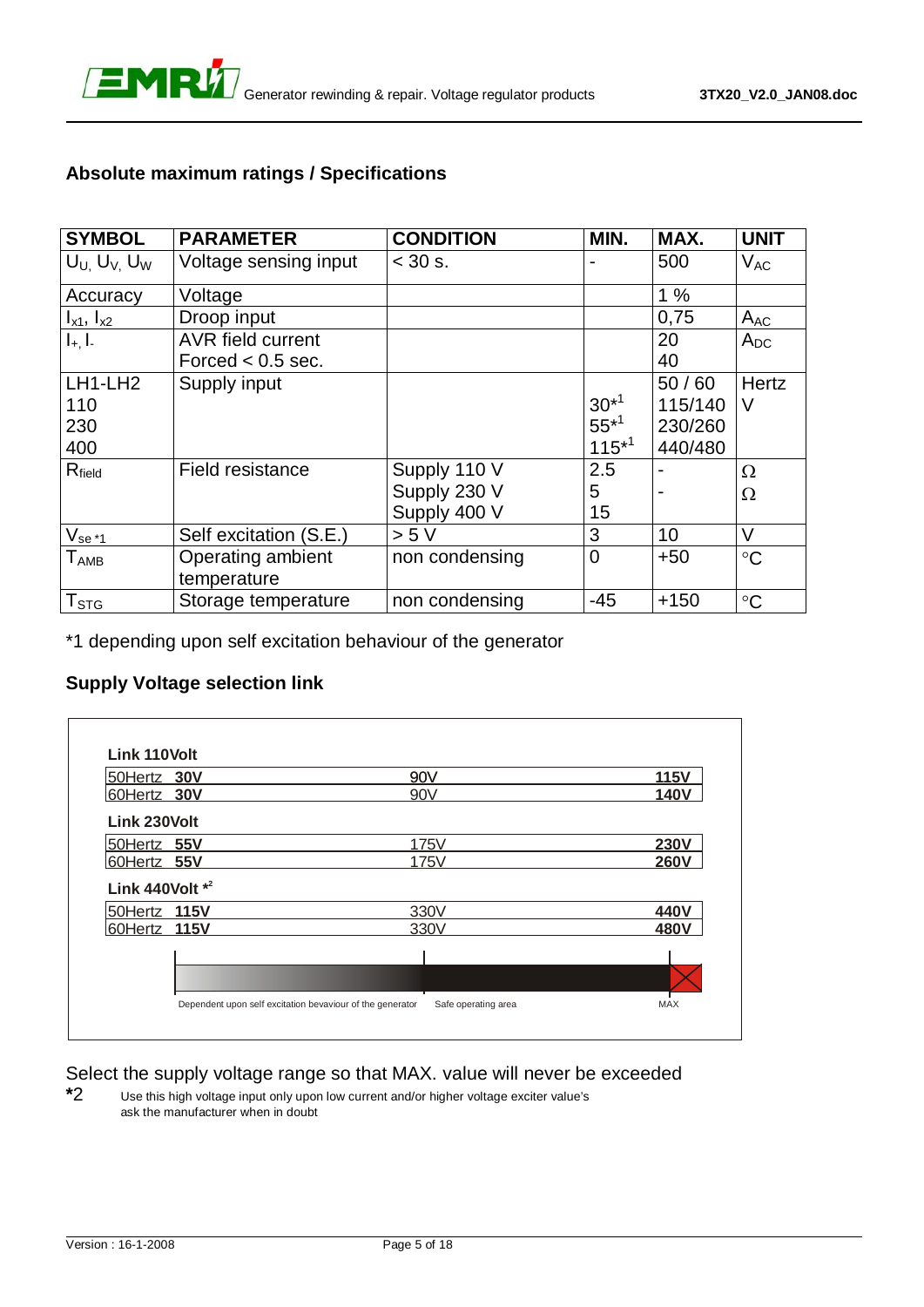

#### **Absolute maximum ratings / Specifications**

| <b>SYMBOL</b>         | <b>PARAMETER</b>         | <b>CONDITION</b> | MIN.           | MAX.    | <b>UNIT</b>     |
|-----------------------|--------------------------|------------------|----------------|---------|-----------------|
| $U_U$ , $U_V$ , $U_W$ | Voltage sensing input    | $< 30$ s.        |                | 500     | $V_{AC}$        |
| Accuracy              | Voltage                  |                  |                | 1%      |                 |
| $I_{x1}$ , $I_{x2}$   | Droop input              |                  |                | 0,75    | $A_{AC}$        |
| $I_{+}$ , $I_{-}$     | <b>AVR field current</b> |                  |                | 20      | $A_{DC}$        |
|                       | Forced $< 0.5$ sec.      |                  |                | 40      |                 |
| LH1-LH2               | Supply input             |                  |                | 50/60   | <b>Hertz</b>    |
| 110                   |                          |                  | $30^{*1}$      | 115/140 | V               |
| 230                   |                          |                  | $55^{*1}$      | 230/260 |                 |
| 400                   |                          |                  | $115*1$        | 440/480 |                 |
| $R_{field}$           | Field resistance         | Supply 110 V     | 2.5            |         | Ω               |
|                       |                          | Supply 230 V     | 5              |         | Ω               |
|                       |                          | Supply 400 V     | 15             |         |                 |
| $V_{se*1}$            | Self excitation (S.E.)   | > 5 V            | 3              | 10      | $\vee$          |
| $T_{\sf AMB}$         | Operating ambient        | non condensing   | $\overline{0}$ | $+50$   | $\circ$ C       |
|                       | temperature              |                  |                |         |                 |
| $T_{\text{STG}}$      | Storage temperature      | non condensing   | $-45$          | $+150$  | $\rm ^{\circ}C$ |

\*1 depending upon self excitation behaviour of the generator

#### **Supply Voltage selection link**

| 50Hertz 30V        | 90V             | <b>115V</b> |
|--------------------|-----------------|-------------|
| 60Hertz 30V        | 90 <sub>V</sub> | <b>140V</b> |
| Link 230Volt       |                 |             |
| 50Hertz 55V        | <b>175V</b>     | <b>230V</b> |
| 60Hertz 55V        | 175V            | <b>260V</b> |
| Link 440Volt $*^2$ |                 |             |
| 50Hertz 115V       | 330V            | 440V        |
| 60Hertz 115V       | 330V            | 480V        |
|                    |                 |             |
|                    |                 |             |

Select the supply voltage range so that MAX. value will never be exceeded

**\***2 Use this high voltage input only upon low current and/or higher voltage exciter value's ask the manufacturer when in doubt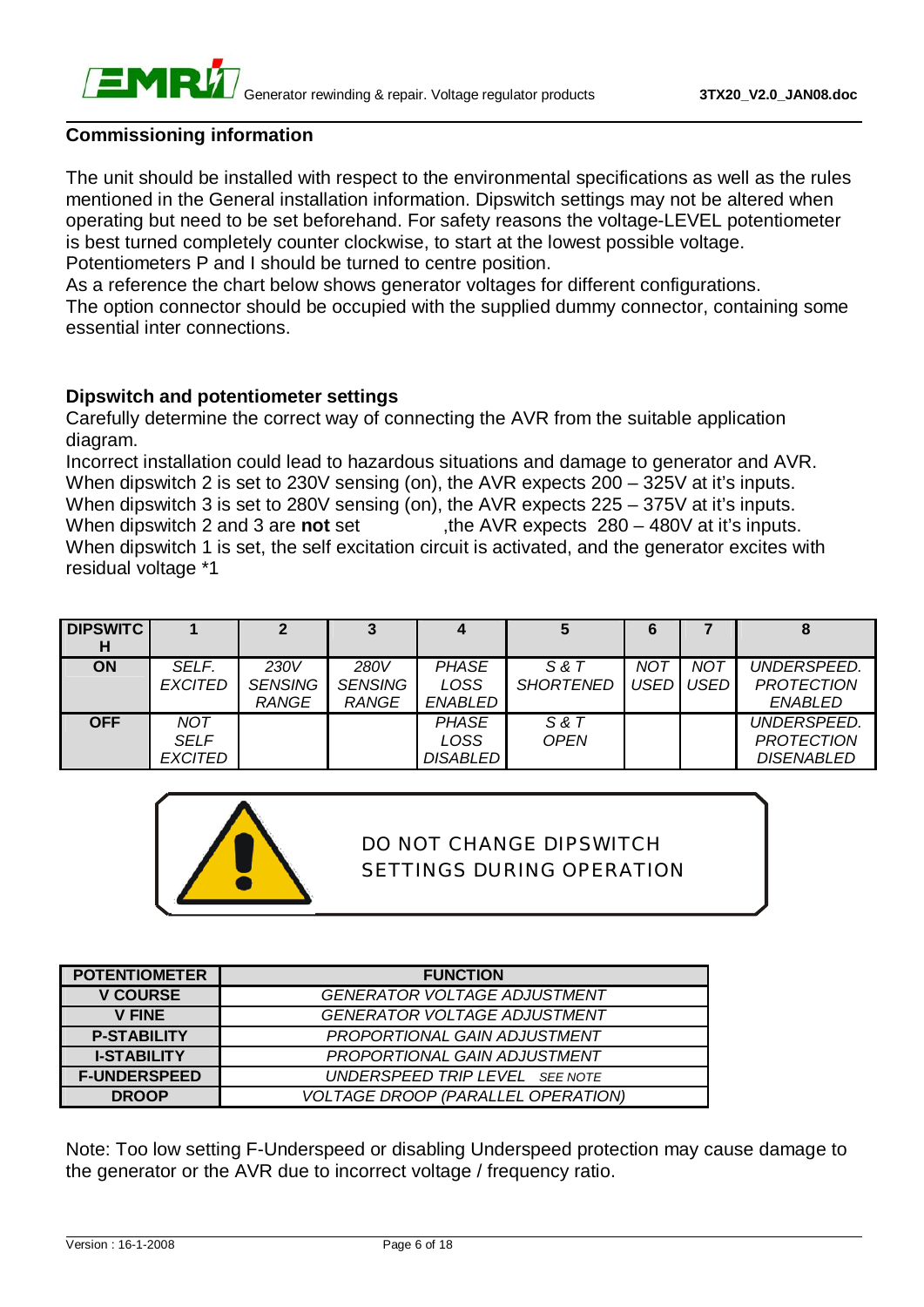

#### **Commissioning information**

The unit should be installed with respect to the environmental specifications as well as the rules mentioned in the General installation information. Dipswitch settings may not be altered when operating but need to be set beforehand. For safety reasons the voltage-LEVEL potentiometer is best turned completely counter clockwise, to start at the lowest possible voltage. Potentiometers P and I should be turned to centre position.

As a reference the chart below shows generator voltages for different configurations. The option connector should be occupied with the supplied dummy connector, containing some essential inter connections.

#### **Dipswitch and potentiometer settings**

Carefully determine the correct way of connecting the AVR from the suitable application diagram.

Incorrect installation could lead to hazardous situations and damage to generator and AVR. When dipswitch 2 is set to 230V sensing (on), the AVR expects  $200 - 325V$  at it's inputs. When dipswitch 3 is set to 280V sensing (on), the AVR expects 225 – 375V at it's inputs. When dipswitch 2 and 3 are **not** set , the AVR expects 280 – 480V at it's inputs. When dipswitch 1 is set, the self excitation circuit is activated, and the generator excites with residual voltage \*1

| <b>DIPSWITC</b> |                               |                                        |                                        |                                         |                           | 6   |                         |                                                       |
|-----------------|-------------------------------|----------------------------------------|----------------------------------------|-----------------------------------------|---------------------------|-----|-------------------------|-------------------------------------------------------|
| <b>ON</b>       | SELF.<br><b>EXCITED</b>       | 230V<br><b>SENSING</b><br><b>RANGE</b> | 280V<br><b>SENSING</b><br><b>RANGE</b> | <b>PHASE</b><br>LOSS<br>ENABLED         | S & T<br><b>SHORTENED</b> | NOT | <b>NOT</b><br>USED USED | UNDERSPEED.<br><b>PROTECTION</b><br><b>ENABLED</b>    |
| <b>OFF</b>      | NOT<br>SELF<br><b>EXCITED</b> |                                        |                                        | <b>PHASE</b><br>LOSS<br><b>DISABLED</b> | S & T<br><b>OPEN</b>      |     |                         | UNDERSPEED.<br><b>PROTECTION</b><br><b>DISENABLED</b> |



### DO NOT CHANGE DIPSWITCH SETTINGS DURING OPERATION

| <b>POTENTIOMETER</b> | <b>FUNCTION</b>                           |
|----------------------|-------------------------------------------|
| <b>V COURSE</b>      | <b>GENERATOR VOLTAGE ADJUSTMENT</b>       |
| <b>V FINE</b>        | <b>GENERATOR VOLTAGE ADJUSTMENT</b>       |
| <b>P-STABILITY</b>   | PROPORTIONAL GAIN ADJUSTMENT              |
| <b>I-STABILITY</b>   | PROPORTIONAL GAIN ADJUSTMENT              |
| <b>F-UNDERSPEED</b>  | UNDERSPEED TRIP LEVEL SEE NOTE            |
| <b>DROOP</b>         | <b>VOLTAGE DROOP (PARALLEL OPERATION)</b> |

Note: Too low setting F-Underspeed or disabling Underspeed protection may cause damage to the generator or the AVR due to incorrect voltage / frequency ratio.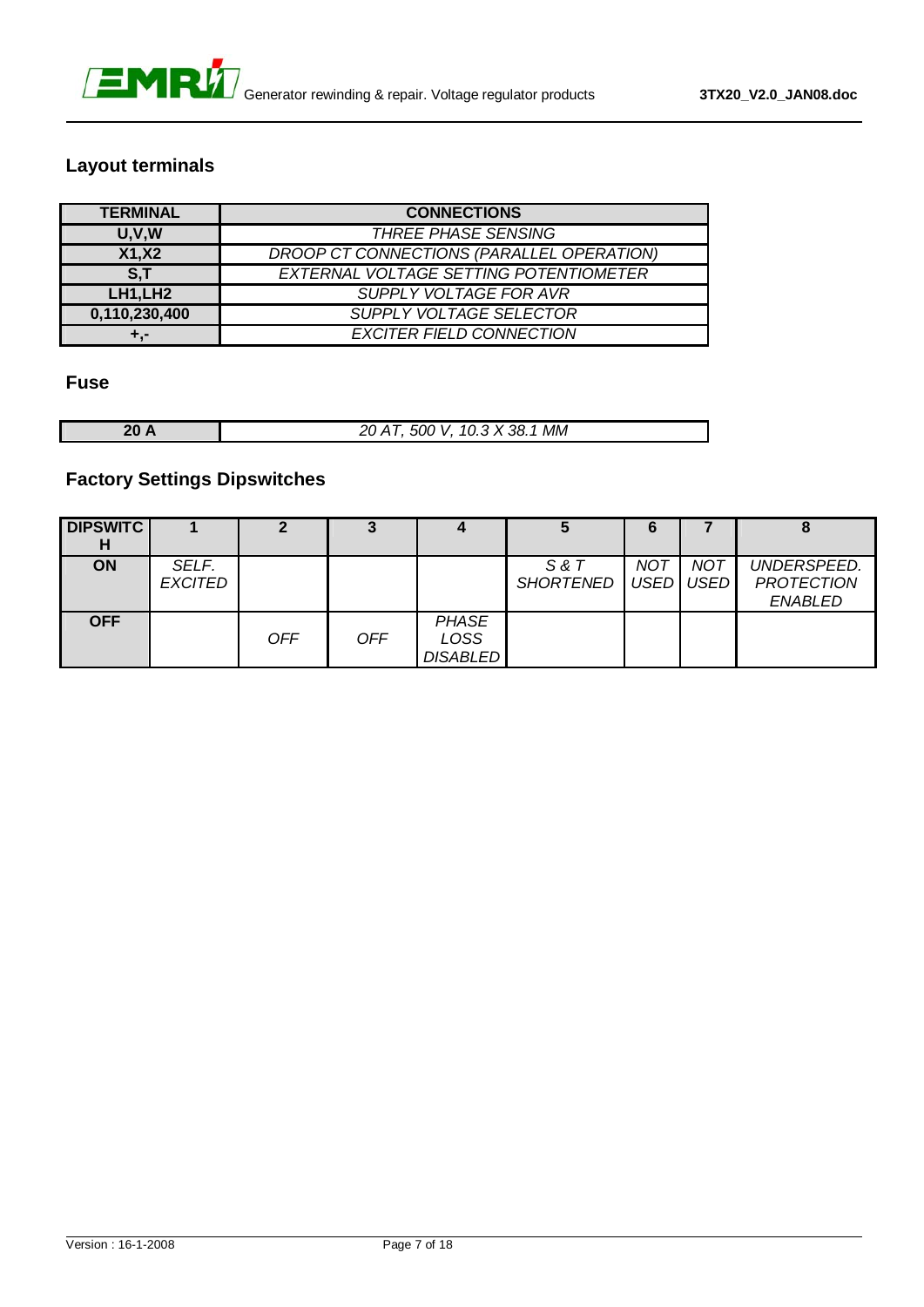

#### **Layout terminals**

| <b>TERMINAL</b>      | <b>CONNECTIONS</b>                        |
|----------------------|-------------------------------------------|
| U, V, W              | <b>THREE PHASE SENSING</b>                |
| X1, X2               | DROOP CT CONNECTIONS (PARALLEL OPERATION) |
| S.T                  | EXTERNAL VOLTAGE SETTING POTENTIOMETER    |
| LH1, LH <sub>2</sub> | <b>SUPPLY VOLTAGE FOR AVR</b>             |
| 0,110,230,400        | SUPPLY VOLTAGE SELECTOR                   |
| ÷.-                  | <b>EXCITER FIELD CONNECTION</b>           |

#### **Fuse**

| 20 A | 20 AT, 500 V, 10.3 X 38.1 MM |
|------|------------------------------|

#### **Factory Settings Dipswitches**

| <b>DIPSWITC</b><br>н |                         | 2          | 3          | 4                                       | G                                | 6          |     |                                                    |
|----------------------|-------------------------|------------|------------|-----------------------------------------|----------------------------------|------------|-----|----------------------------------------------------|
| <b>ON</b>            | SELF.<br><b>EXCITED</b> |            |            |                                         | S & T<br>SHORTENED   USED   USED | <b>NOT</b> | NOT | UNDERSPEED.<br><b>PROTECTION</b><br><b>ENABLED</b> |
| <b>OFF</b>           |                         | <b>OFF</b> | <b>OFF</b> | <b>PHASE</b><br>LOSS<br><b>DISABLED</b> |                                  |            |     |                                                    |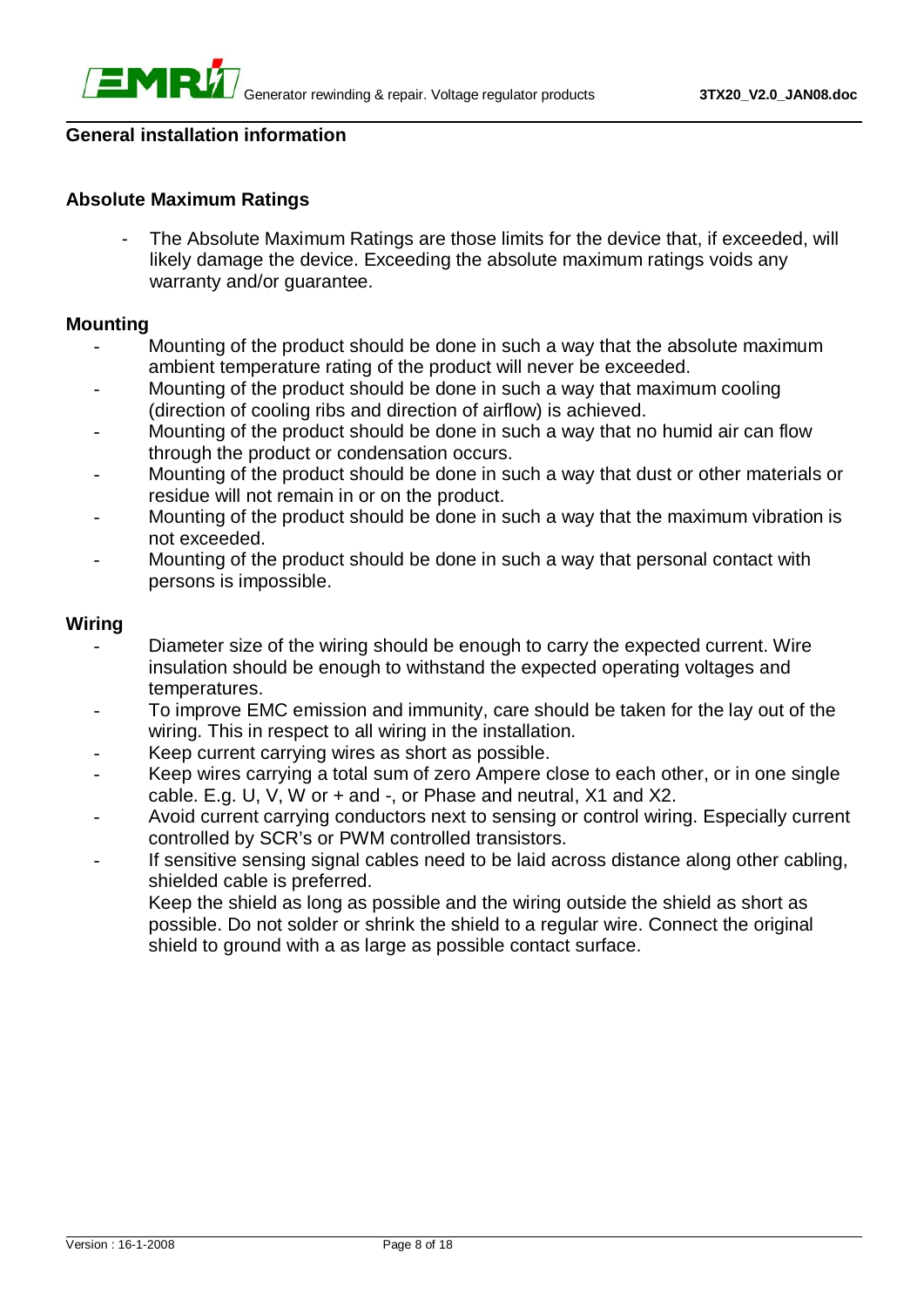

#### **General installation information**

#### **Absolute Maximum Ratings**

The Absolute Maximum Ratings are those limits for the device that, if exceeded, will likely damage the device. Exceeding the absolute maximum ratings voids any warranty and/or quarantee.

#### **Mounting**

- Mounting of the product should be done in such a way that the absolute maximum ambient temperature rating of the product will never be exceeded.
- Mounting of the product should be done in such a way that maximum cooling (direction of cooling ribs and direction of airflow) is achieved.
- Mounting of the product should be done in such a way that no humid air can flow through the product or condensation occurs.
- Mounting of the product should be done in such a way that dust or other materials or residue will not remain in or on the product.
- Mounting of the product should be done in such a way that the maximum vibration is not exceeded.
- Mounting of the product should be done in such a way that personal contact with persons is impossible.

#### **Wiring**

- Diameter size of the wiring should be enough to carry the expected current. Wire insulation should be enough to withstand the expected operating voltages and temperatures.
- To improve EMC emission and immunity, care should be taken for the lay out of the wiring. This in respect to all wiring in the installation.
- Keep current carrying wires as short as possible.
- Keep wires carrying a total sum of zero Ampere close to each other, or in one single cable. E.g. U, V, W or + and -, or Phase and neutral, X1 and X2.
- Avoid current carrying conductors next to sensing or control wiring. Especially current controlled by SCR's or PWM controlled transistors.
- If sensitive sensing signal cables need to be laid across distance along other cabling, shielded cable is preferred.
	- Keep the shield as long as possible and the wiring outside the shield as short as possible. Do not solder or shrink the shield to a regular wire. Connect the original shield to ground with a as large as possible contact surface.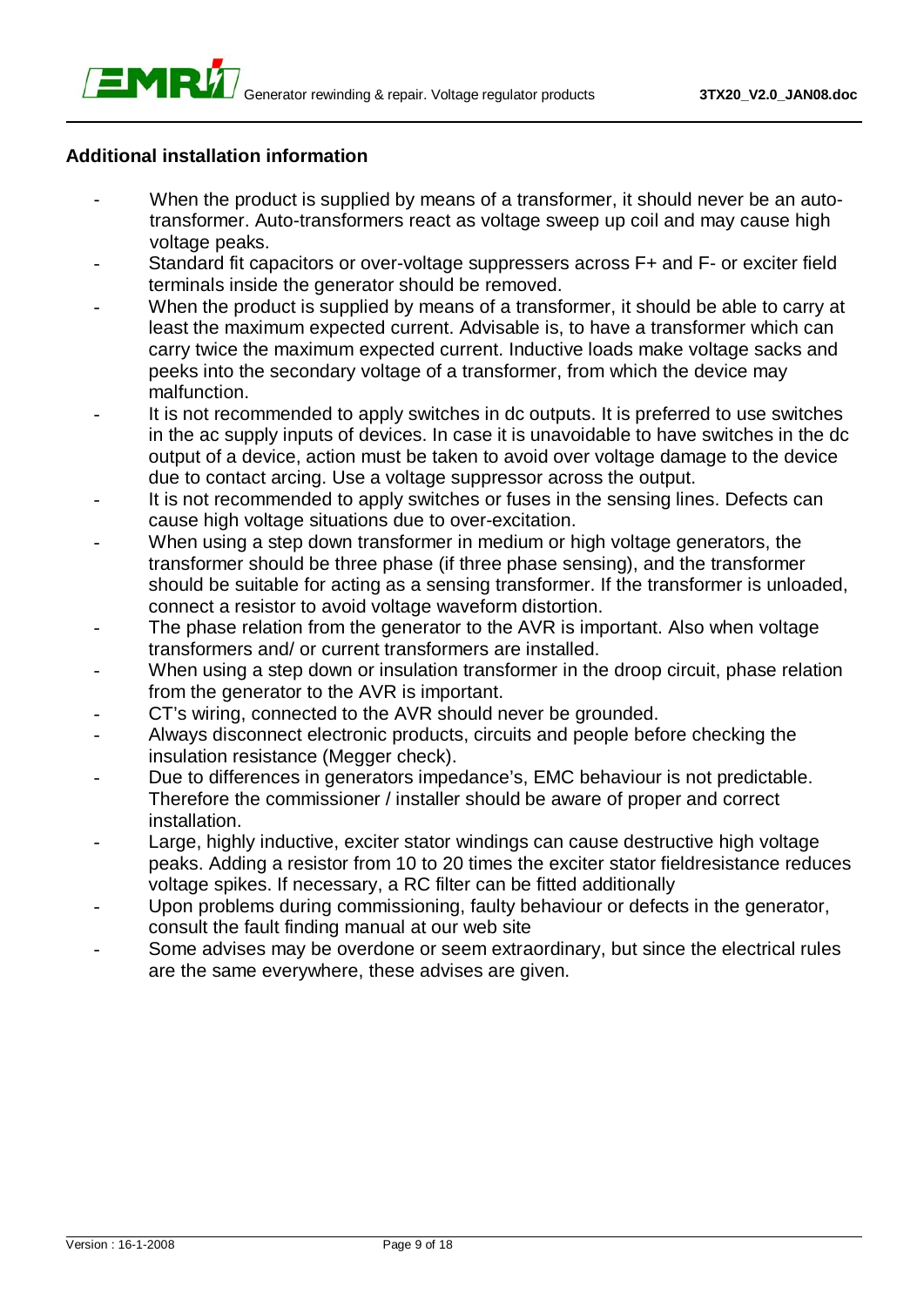#### **Additional installation information**

EMRÝ

- When the product is supplied by means of a transformer, it should never be an autotransformer. Auto-transformers react as voltage sweep up coil and may cause high voltage peaks.
- Standard fit capacitors or over-voltage suppressers across F+ and F- or exciter field terminals inside the generator should be removed.
- When the product is supplied by means of a transformer, it should be able to carry at least the maximum expected current. Advisable is, to have a transformer which can carry twice the maximum expected current. Inductive loads make voltage sacks and peeks into the secondary voltage of a transformer, from which the device may malfunction.
- It is not recommended to apply switches in dc outputs. It is preferred to use switches in the ac supply inputs of devices. In case it is unavoidable to have switches in the dc output of a device, action must be taken to avoid over voltage damage to the device due to contact arcing. Use a voltage suppressor across the output.
- It is not recommended to apply switches or fuses in the sensing lines. Defects can cause high voltage situations due to over-excitation.
- When using a step down transformer in medium or high voltage generators, the transformer should be three phase (if three phase sensing), and the transformer should be suitable for acting as a sensing transformer. If the transformer is unloaded, connect a resistor to avoid voltage waveform distortion.
- The phase relation from the generator to the AVR is important. Also when voltage transformers and/ or current transformers are installed.
- When using a step down or insulation transformer in the droop circuit, phase relation from the generator to the AVR is important.
- CT's wiring, connected to the AVR should never be grounded.
- Always disconnect electronic products, circuits and people before checking the insulation resistance (Megger check).
- Due to differences in generators impedance's, EMC behaviour is not predictable. Therefore the commissioner / installer should be aware of proper and correct installation.
- Large, highly inductive, exciter stator windings can cause destructive high voltage peaks. Adding a resistor from 10 to 20 times the exciter stator fieldresistance reduces voltage spikes. If necessary, a RC filter can be fitted additionally
- Upon problems during commissioning, faulty behaviour or defects in the generator, consult the fault finding manual at our web site
- Some advises may be overdone or seem extraordinary, but since the electrical rules are the same everywhere, these advises are given.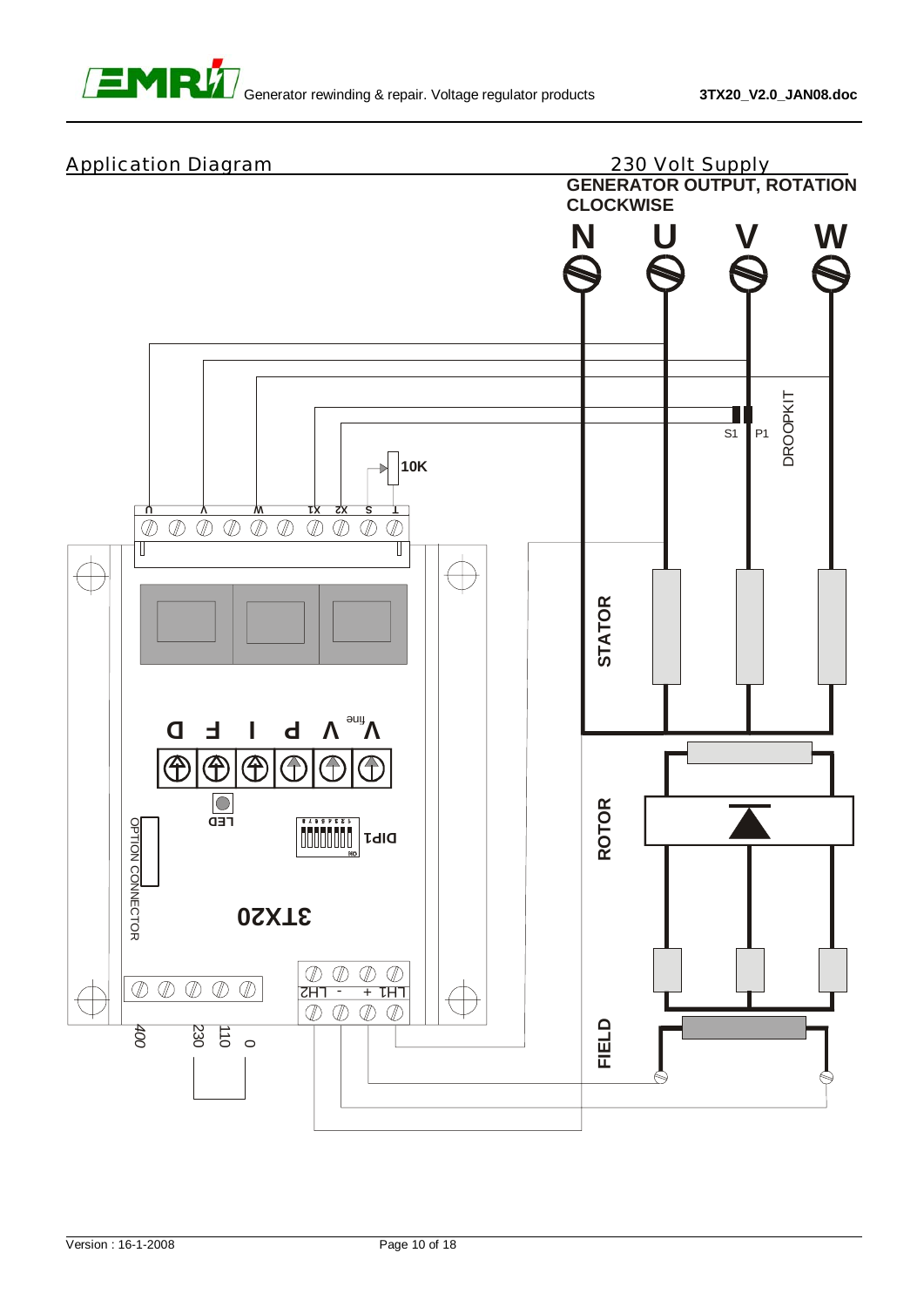

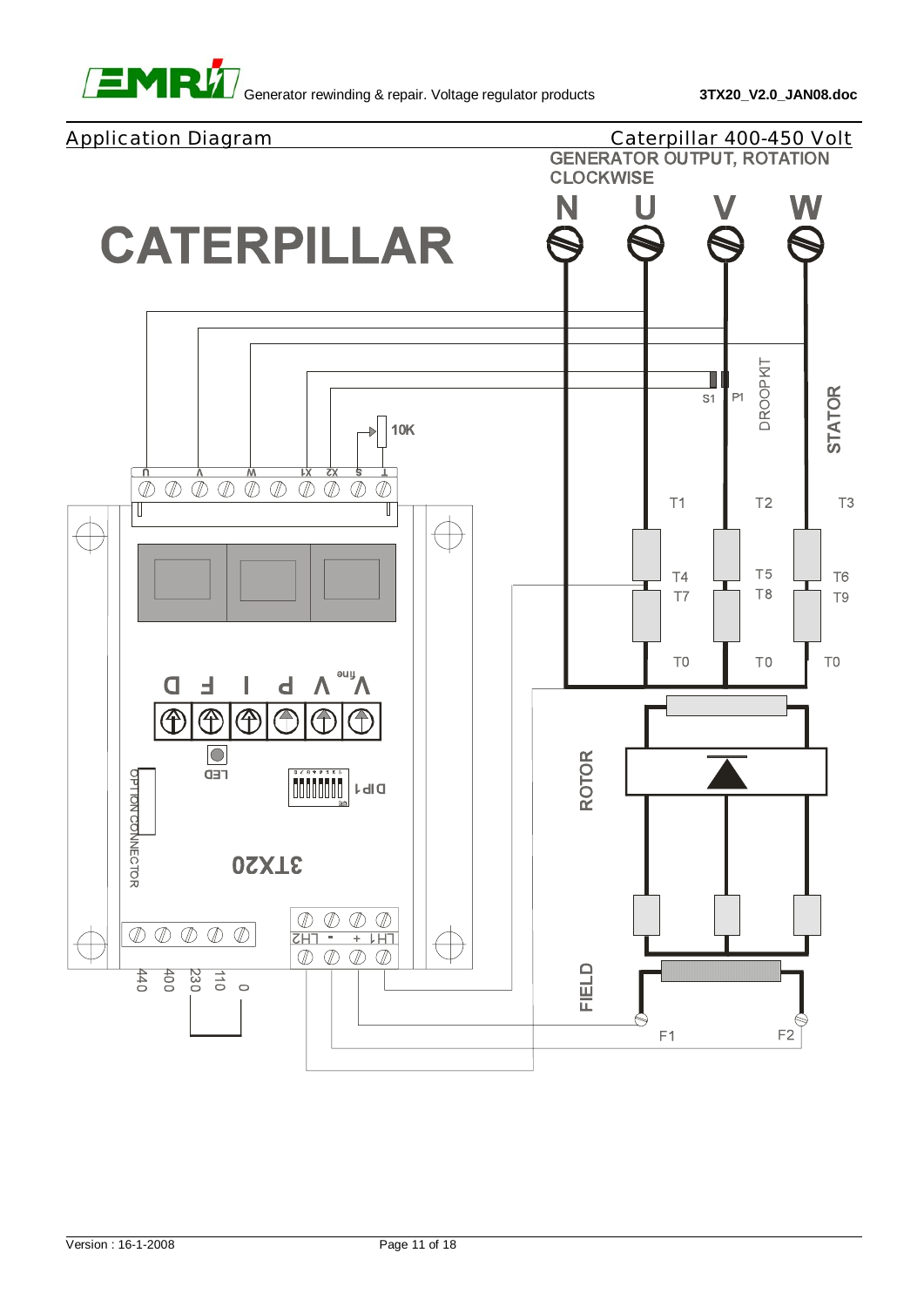

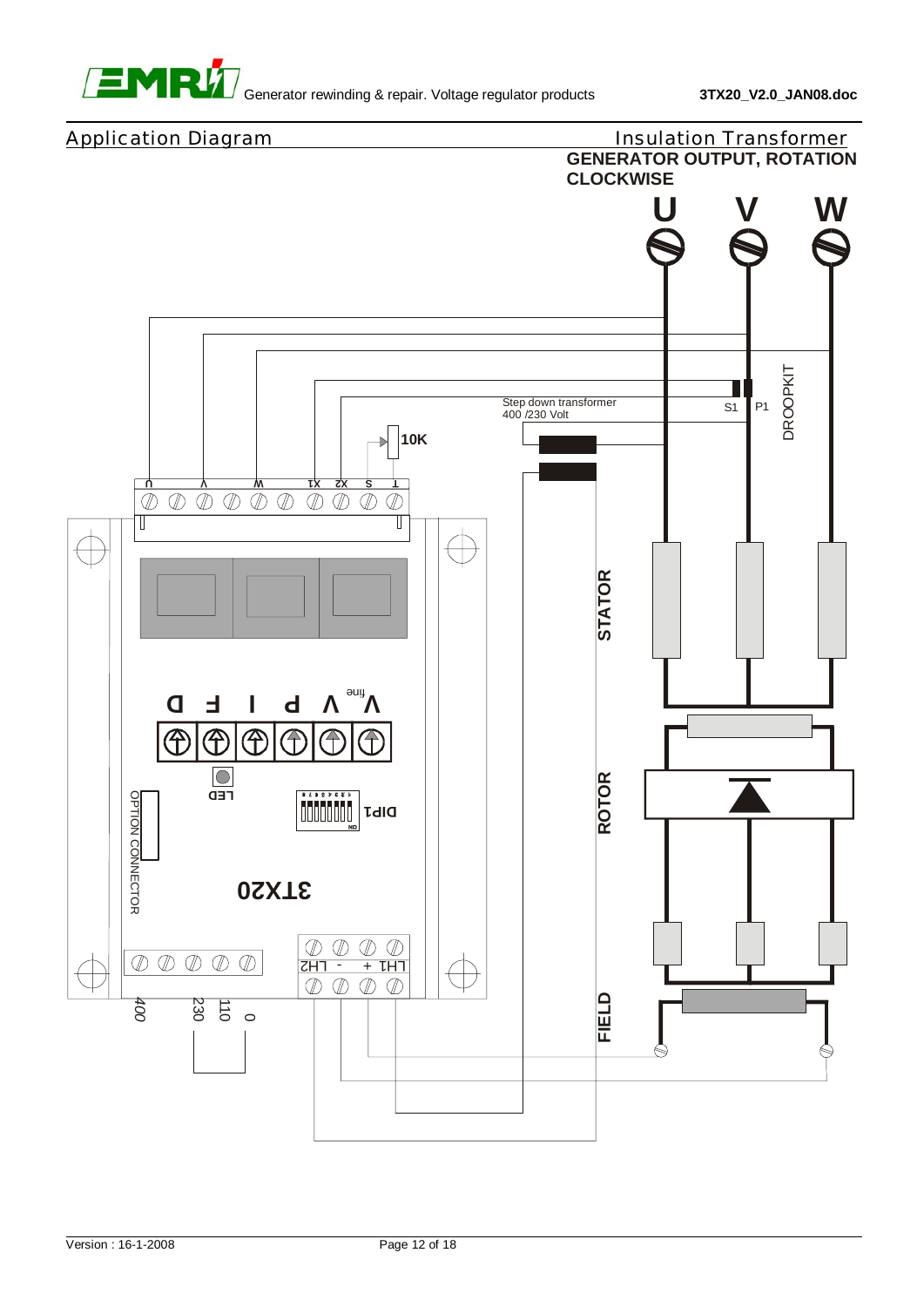

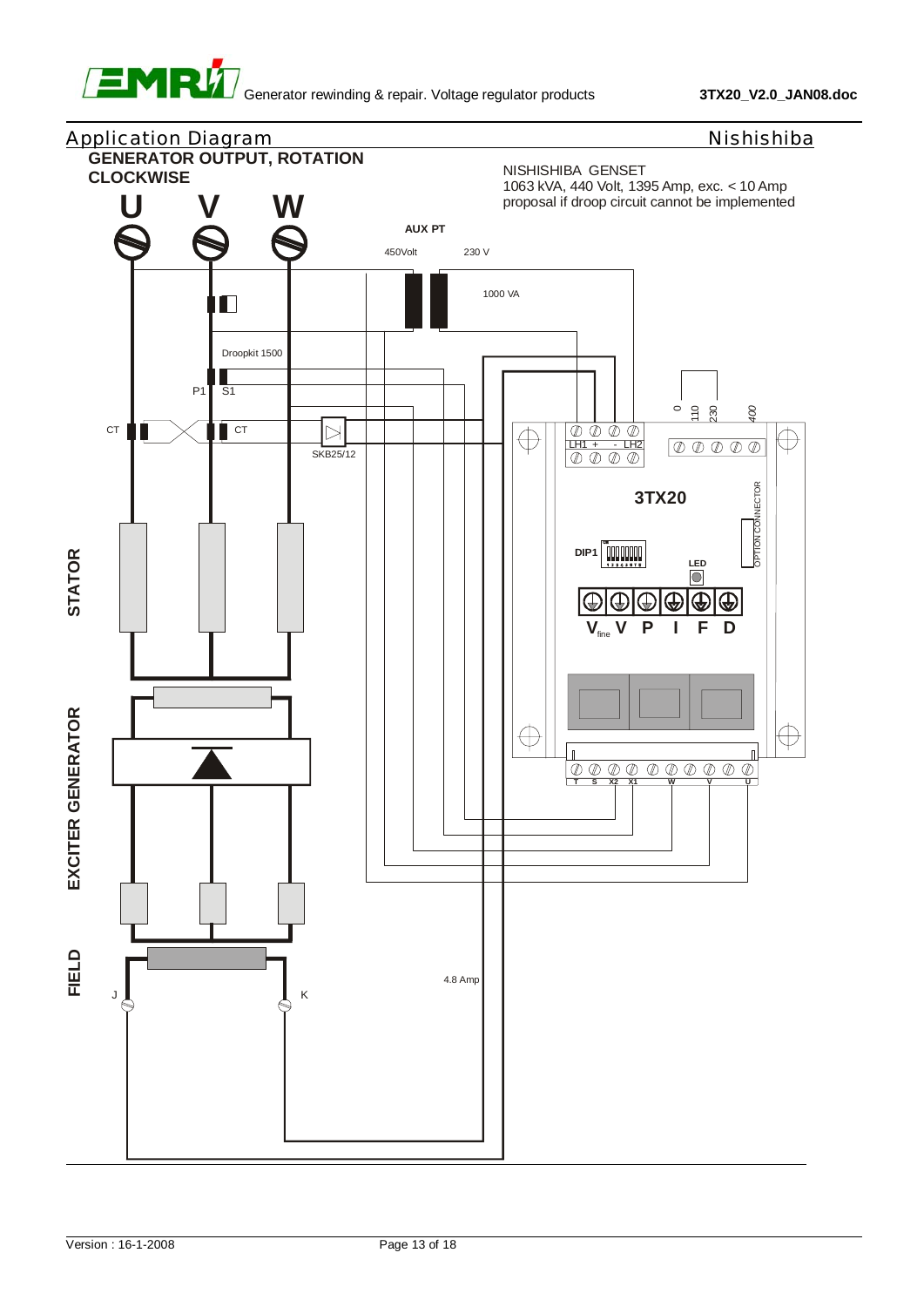

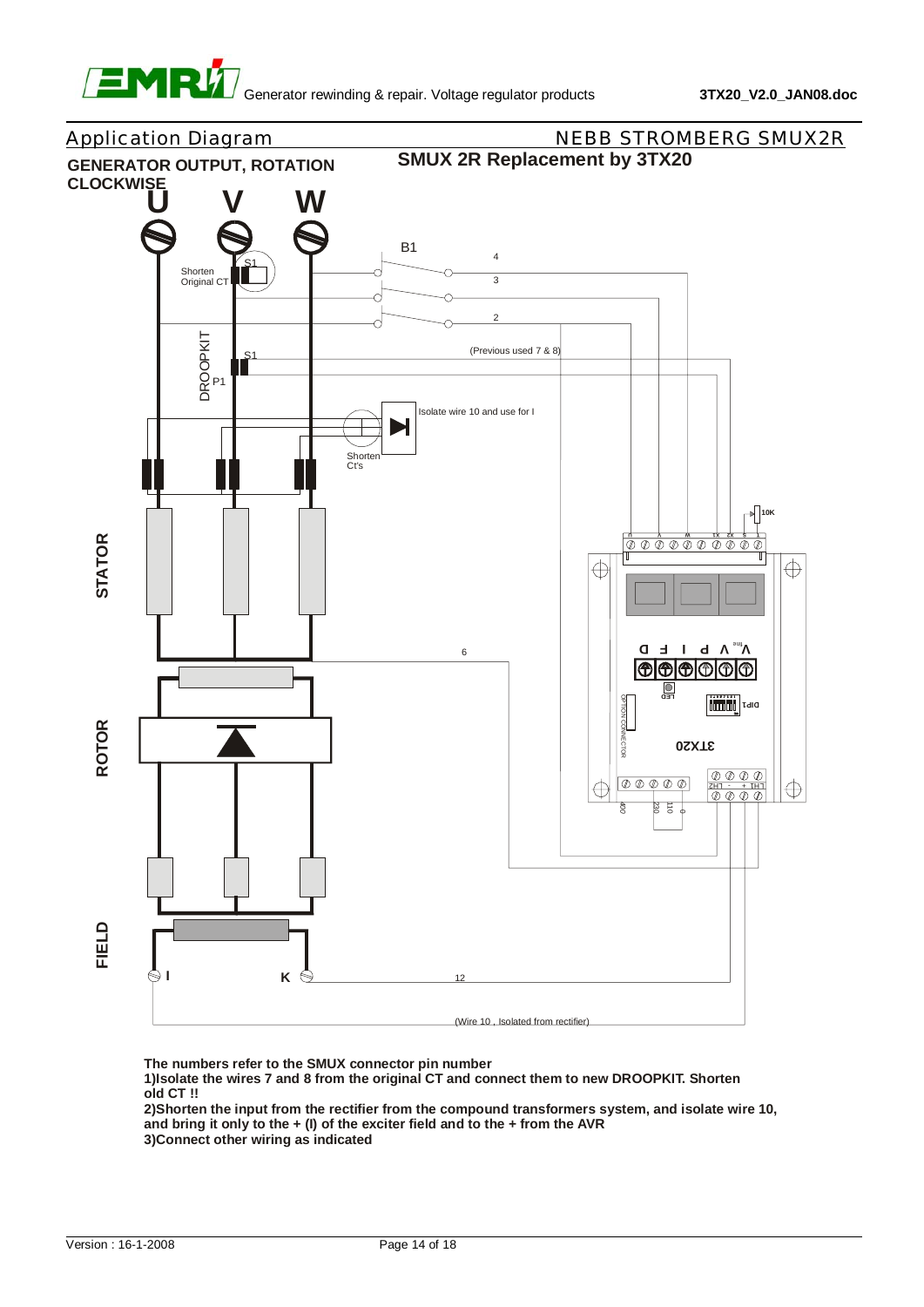



**The numbers refer to the SMUX connector pin number**

**1)Isolate the wires 7 and 8 from the original CT and connect them to new DROOPKIT. Shorten old CT !!**

**2)Shorten the input from the rectifier from the compound transformers system, and isolate wire 10, and bring it only to the + (I) of the exciter field and to the + from the AVR 3)Connect other wiring as indicated**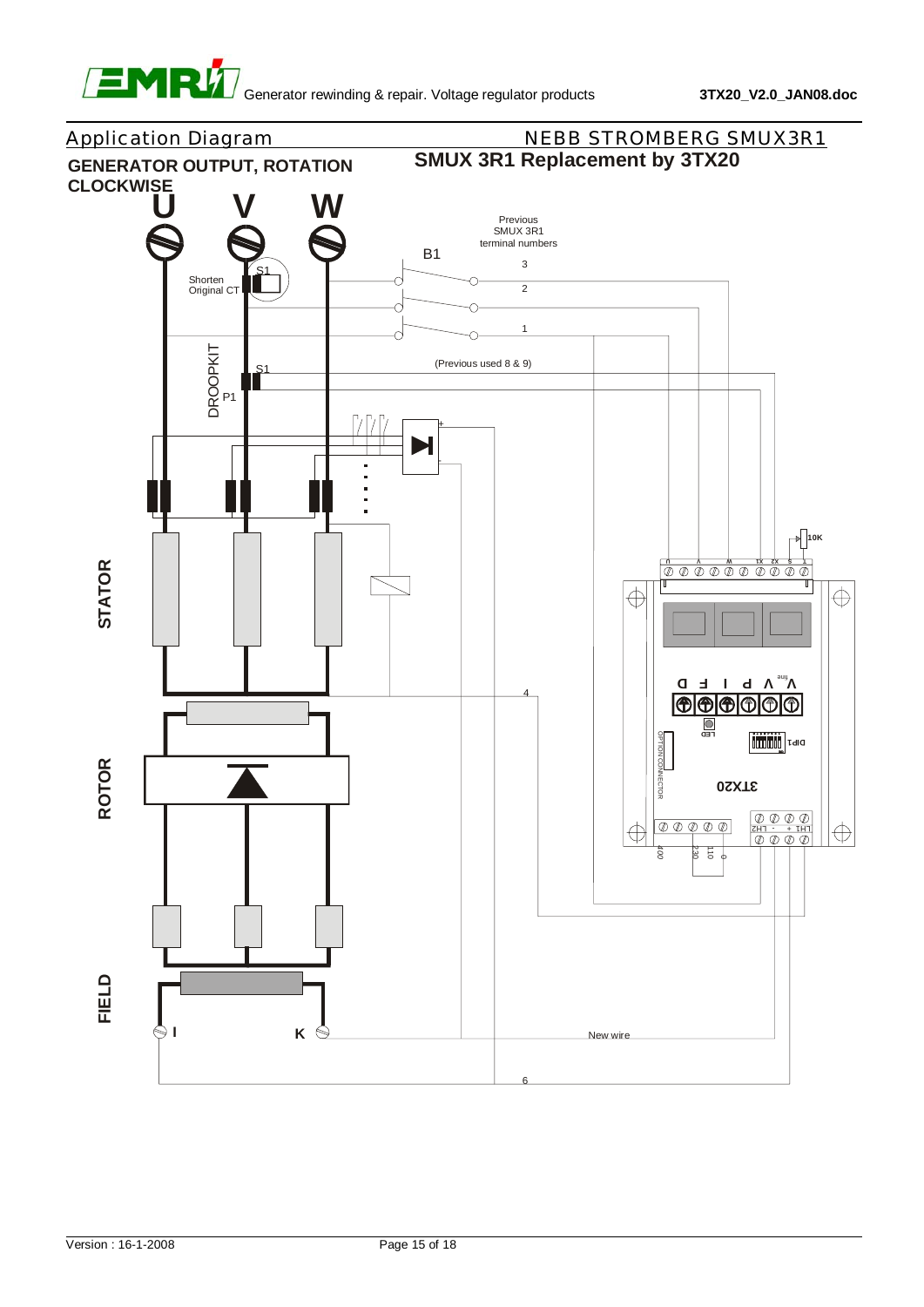

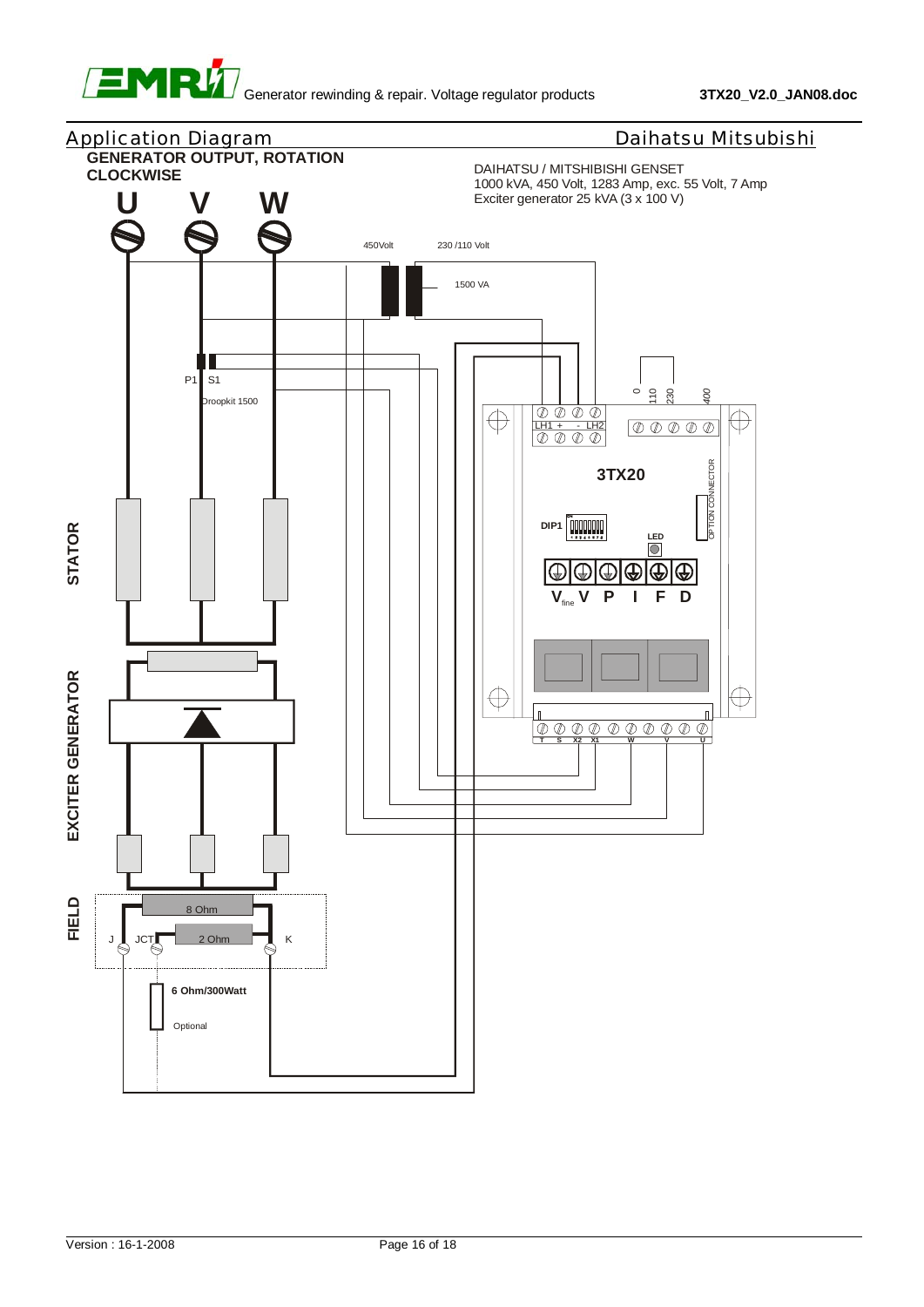![](_page_22_Picture_0.jpeg)

![](_page_22_Figure_3.jpeg)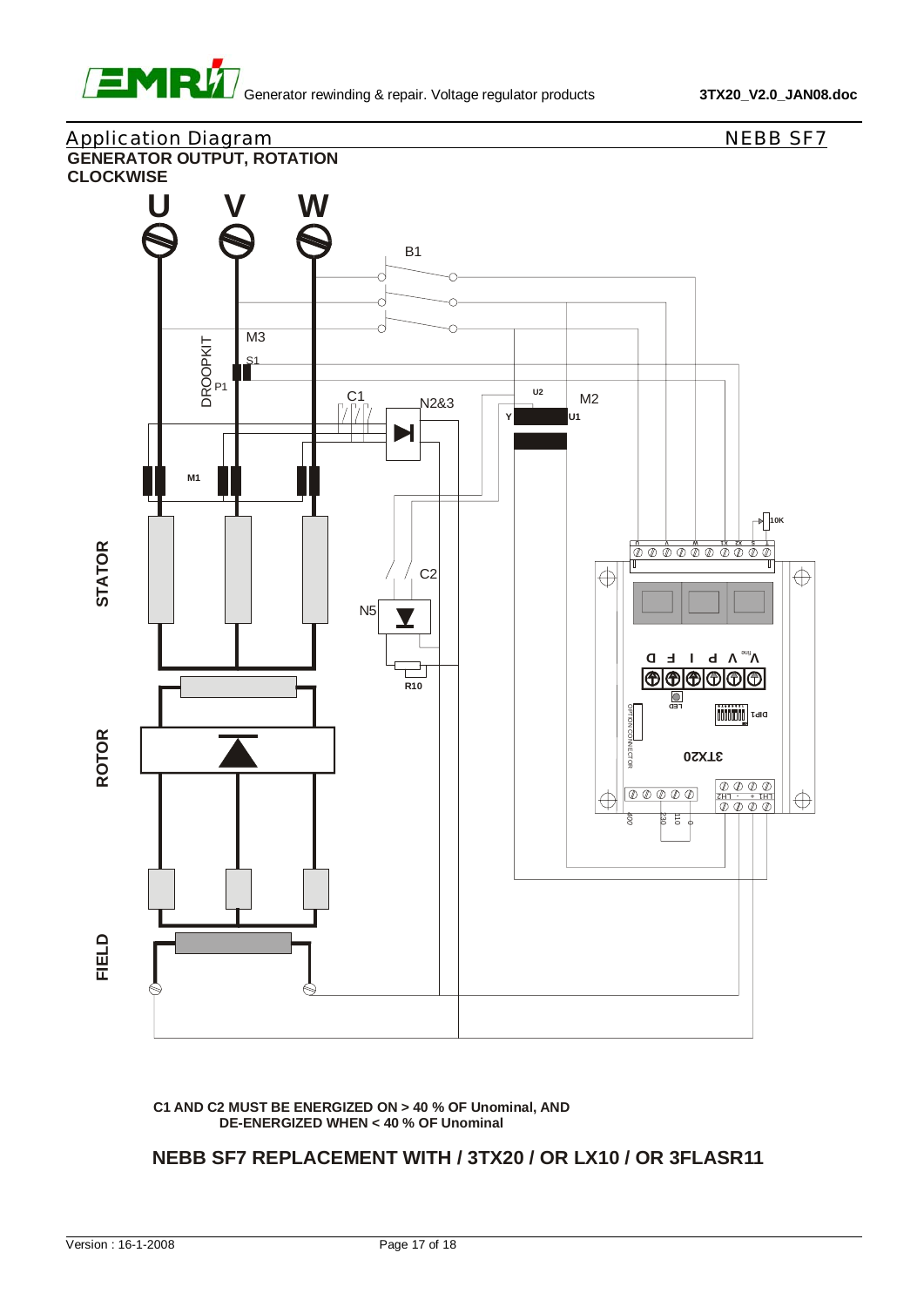![](_page_23_Picture_0.jpeg)

## Application Diagram NEBB SF7 **GENERATOR OUTPUT, ROTATION CLOCKWISE W** B1

![](_page_23_Figure_4.jpeg)

**C1 AND C2 MUST BE ENERGIZED ON > 40 % OF Unominal, AND DE-ENERGIZED WHEN < 40 % OF Unominal**

#### **NEBB SF7 REPLACEMENT WITH / 3TX20 / OR LX10 / OR 3FLASR11**